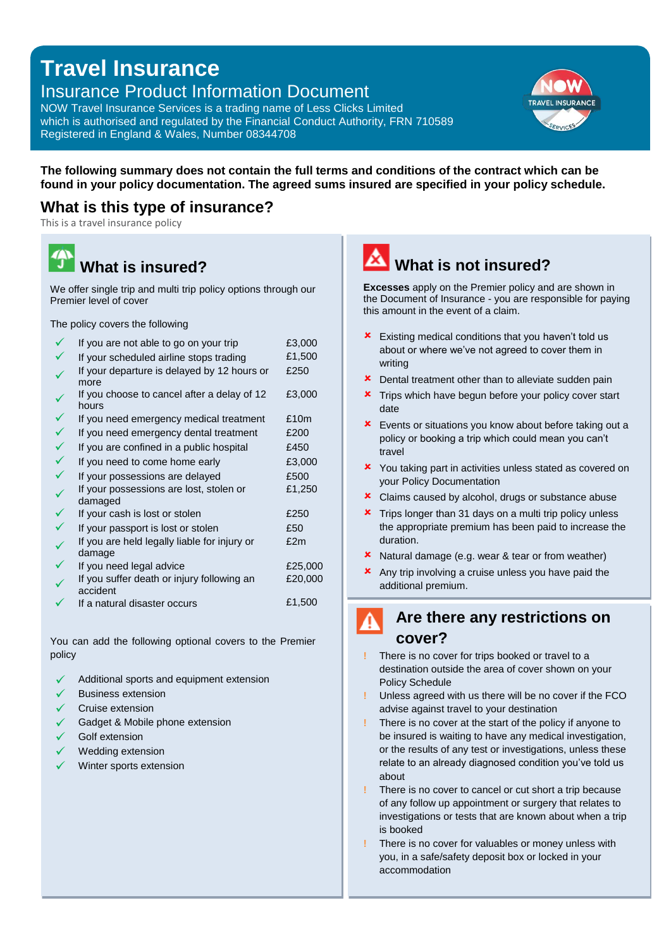## **Travel Insurance**

## Insurance Product Information Document

NOW Travel Insurance Services is a trading name of Less Clicks Limited which is authorised and regulated by the Financial Conduct Authority, FRN 710589 Registered in England & Wales, Number 08344708



**The following summary does not contain the full terms and conditions of the contract which can be found in your policy documentation. The agreed sums insured are specified in your policy schedule.**

### **What is this type of insurance?**

This is a travel insurance policy

# **What is insured?**

We offer single trip and multi trip policy options through our Premier level of cover

The policy covers the following

| If you are not able to go on your trip                 | £3,000  |
|--------------------------------------------------------|---------|
| If your scheduled airline stops trading                | £1,500  |
| If your departure is delayed by 12 hours or<br>more    | £250    |
| If you choose to cancel after a delay of 12<br>hours   | £3,000  |
| If you need emergency medical treatment                | £10m    |
| If you need emergency dental treatment                 | £200    |
| If you are confined in a public hospital               | £450    |
| If you need to come home early                         | £3,000  |
| If your possessions are delayed                        | £500    |
| If your possessions are lost, stolen or<br>damaged     | £1,250  |
| If your cash is lost or stolen                         | £250    |
| If your passport is lost or stolen                     | £50     |
| If you are held legally liable for injury or<br>damage | £2m     |
| If you need legal advice                               | £25,000 |
| If you suffer death or injury following an<br>accident | £20,000 |
| If a natural disaster occurs                           | £1,500  |
|                                                        |         |

You can add the following optional covers to the Premier policy

- Additional sports and equipment extension
- Business extension
- Cruise extension
- Gadget & Mobile phone extension
- Golf extension
- Wedding extension
- Winter sports extension

# **What is not insured?**

**Excesses** apply on the Premier policy and are shown in the Document of Insurance - you are responsible for paying this amount in the event of a claim.

- **x** Existing medical conditions that you haven't told us about or where we've not agreed to cover them in writing
- **x** Dental treatment other than to alleviate sudden pain
- **x** Trips which have begun before your policy cover start date
- **x** Events or situations you know about before taking out a policy or booking a trip which could mean you can't travel
- **x** You taking part in activities unless stated as covered on your Policy Documentation
- **x** Claims caused by alcohol, drugs or substance abuse
- **\*** Trips longer than 31 days on a multi trip policy unless the appropriate premium has been paid to increase the duration.
- **x** Natural damage (e.g. wear & tear or from weather)
- **x** Any trip involving a cruise unless you have paid the additional premium.

## **Are there any restrictions on cover?**

- There is no cover for trips booked or travel to a destination outside the area of cover shown on your Policy Schedule
- **!** Unless agreed with us there will be no cover if the FCO advise against travel to your destination
- **!** There is no cover at the start of the policy if anyone to be insured is waiting to have any medical investigation, or the results of any test or investigations, unless these relate to an already diagnosed condition you've told us about
- **!** There is no cover to cancel or cut short a trip because of any follow up appointment or surgery that relates to investigations or tests that are known about when a trip is booked
- **!** There is no cover for valuables or money unless with you, in a safe/safety deposit box or locked in your accommodation